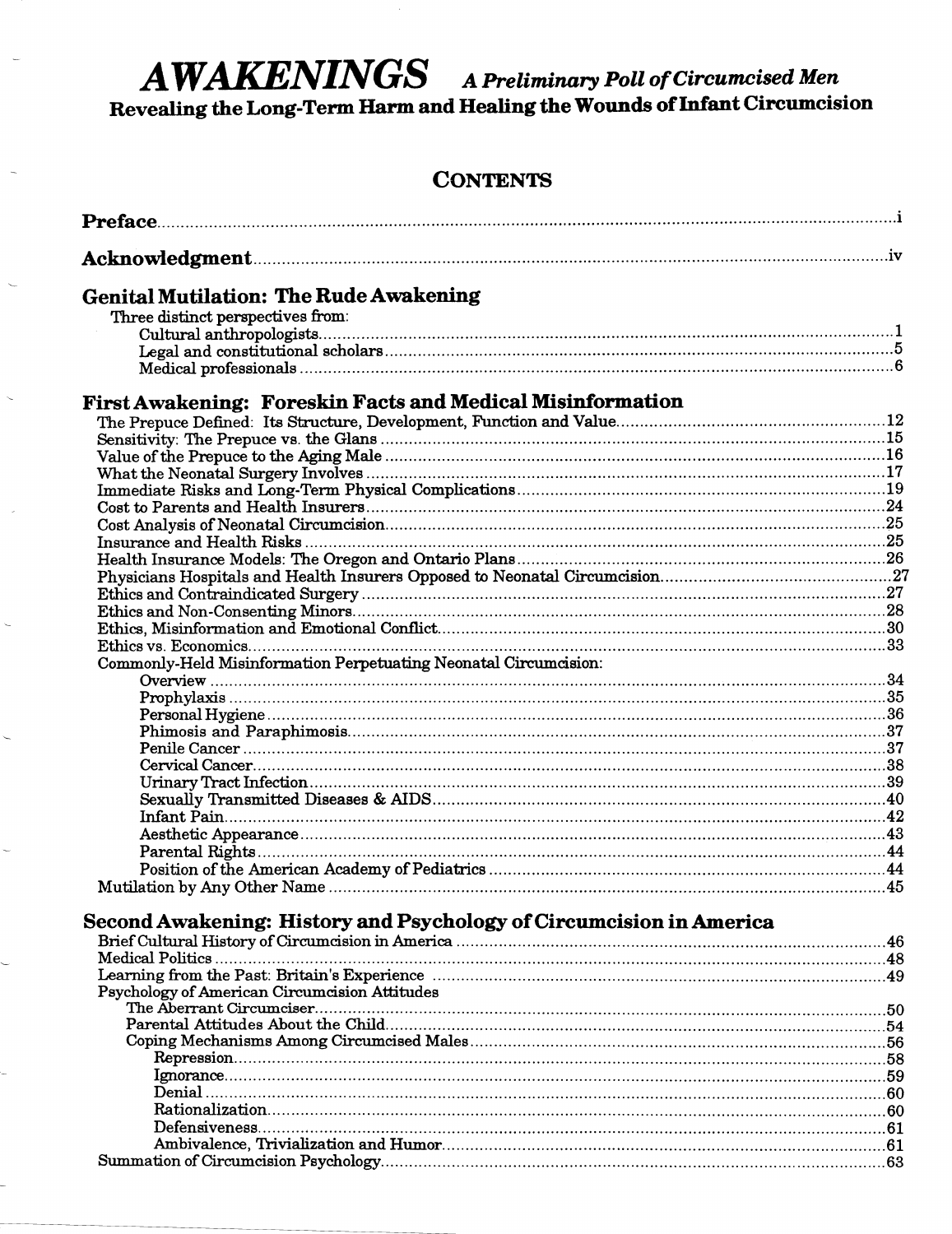# AWAKENINGS A Preliminary Poll of Circumcised Men

Revealing the Long-Term Harm and Healing the Wounds of Infant Circumcision

## **CONTENTS**

| <b>Genital Mutilation: The Rude Awakening</b>                       |  |
|---------------------------------------------------------------------|--|
| Three distinct perspectives from:                                   |  |
|                                                                     |  |
|                                                                     |  |
|                                                                     |  |
| <b>First Awakening: Foreskin Facts and Medical Misinformation</b>   |  |
|                                                                     |  |
|                                                                     |  |
|                                                                     |  |
|                                                                     |  |
|                                                                     |  |
|                                                                     |  |
|                                                                     |  |
|                                                                     |  |
|                                                                     |  |
|                                                                     |  |
|                                                                     |  |
|                                                                     |  |
|                                                                     |  |
|                                                                     |  |
|                                                                     |  |
| Commonly-Held Misinformation Perpetuating Neonatal Circumcision:    |  |
|                                                                     |  |
|                                                                     |  |
|                                                                     |  |
|                                                                     |  |
|                                                                     |  |
|                                                                     |  |
|                                                                     |  |
|                                                                     |  |
|                                                                     |  |
|                                                                     |  |
|                                                                     |  |
|                                                                     |  |
|                                                                     |  |
| Second Awakening: History and Psychology of Circumcision in America |  |
|                                                                     |  |
|                                                                     |  |
|                                                                     |  |
| Psychology of American Circumcision Attitudes                       |  |
|                                                                     |  |
|                                                                     |  |
|                                                                     |  |
|                                                                     |  |
|                                                                     |  |
|                                                                     |  |
|                                                                     |  |
|                                                                     |  |
|                                                                     |  |
|                                                                     |  |
|                                                                     |  |